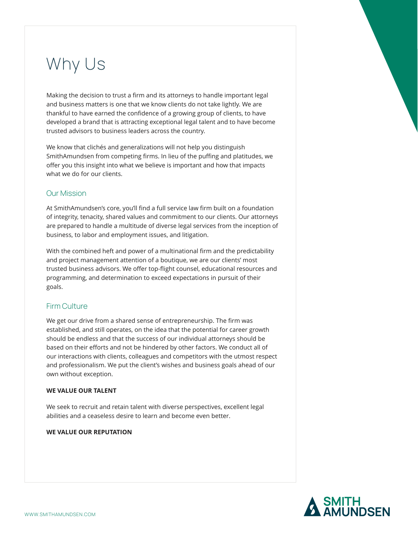# Why Us

Making the decision to trust a firm and its attorneys to handle important legal and business matters is one that we know clients do not take lightly. We are thankful to have earned the confidence of a growing group of clients, to have developed a brand that is attracting exceptional legal talent and to have become trusted advisors to business leaders across the country.

We know that clichés and generalizations will not help you distinguish SmithAmundsen from competing firms. In lieu of the puffing and platitudes, we offer you this insight into what we believe is important and how that impacts what we do for our clients.

## Our Mission

At SmithAmundsen's core, you'll find a full service law firm built on a foundation of integrity, tenacity, shared values and commitment to our clients. Our attorneys are prepared to handle a multitude of diverse legal services from the inception of business, to labor and employment issues, and litigation.

With the combined heft and power of a multinational firm and the predictability and project management attention of a boutique, we are our clients' most trusted business advisors. We offer top-flight counsel, educational resources and programming, and determination to exceed expectations in pursuit of their goals.

## Firm Culture

We get our drive from a shared sense of entrepreneurship. The firm was established, and still operates, on the idea that the potential for career growth should be endless and that the success of our individual attorneys should be based on their efforts and not be hindered by other factors. We conduct all of our interactions with clients, colleagues and competitors with the utmost respect and professionalism. We put the client's wishes and business goals ahead of our own without exception.

### **WE VALUE OUR TALENT**

We seek to recruit and retain talent with diverse perspectives, excellent legal abilities and a ceaseless desire to learn and become even better.

### **WE VALUE OUR REPUTATION**